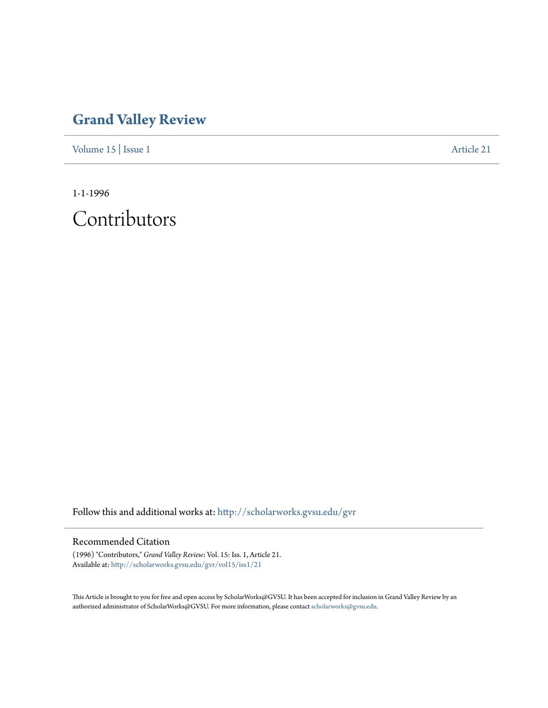## **[Grand Valley Review](http://scholarworks.gvsu.edu/gvr?utm_source=scholarworks.gvsu.edu%2Fgvr%2Fvol15%2Fiss1%2F21&utm_medium=PDF&utm_campaign=PDFCoverPages)**

[Volume 15](http://scholarworks.gvsu.edu/gvr/vol15?utm_source=scholarworks.gvsu.edu%2Fgvr%2Fvol15%2Fiss1%2F21&utm_medium=PDF&utm_campaign=PDFCoverPages) | [Issue 1](http://scholarworks.gvsu.edu/gvr/vol15/iss1?utm_source=scholarworks.gvsu.edu%2Fgvr%2Fvol15%2Fiss1%2F21&utm_medium=PDF&utm_campaign=PDFCoverPages) [Article 21](http://scholarworks.gvsu.edu/gvr/vol15/iss1/21?utm_source=scholarworks.gvsu.edu%2Fgvr%2Fvol15%2Fiss1%2F21&utm_medium=PDF&utm_campaign=PDFCoverPages)

1-1-1996

Contributors

Follow this and additional works at: [http://scholarworks.gvsu.edu/gvr](http://scholarworks.gvsu.edu/gvr?utm_source=scholarworks.gvsu.edu%2Fgvr%2Fvol15%2Fiss1%2F21&utm_medium=PDF&utm_campaign=PDFCoverPages)

## Recommended Citation

(1996) "Contributors," *Grand Valley Review*: Vol. 15: Iss. 1, Article 21. Available at: [http://scholarworks.gvsu.edu/gvr/vol15/iss1/21](http://scholarworks.gvsu.edu/gvr/vol15/iss1/21?utm_source=scholarworks.gvsu.edu%2Fgvr%2Fvol15%2Fiss1%2F21&utm_medium=PDF&utm_campaign=PDFCoverPages)

This Article is brought to you for free and open access by ScholarWorks@GVSU. It has been accepted for inclusion in Grand Valley Review by an authorized administrator of ScholarWorks@GVSU. For more information, please contact [scholarworks@gvsu.edu.](mailto:scholarworks@gvsu.edu)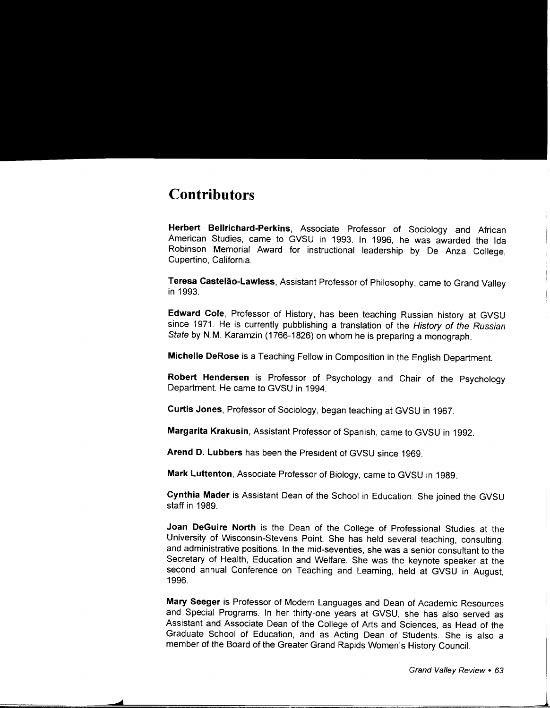## **Contributors**

**Herbert Bellrichard-Perkins,** Associate Professor of Sociology and African American Studies, came to GVSU in 1993. In 1996, he was awarded the Ida Robinson Memorial Award for instructional leadership by De Anza College, Cupertino, California.

**Teresa Castelao-Lawless,** Assistant Professor of Philosophy, came to Grand Valley in 1993.

**Edward Cole,** Professor of History, has been teaching Russian history at GVSU since 1971. He is currently pubblishing a translation of the History of the Russian State by N.M. Karamzin (1766-1826) on whom he is preparing a monograph.

**Michelle DeRose** is a Teaching Fellow in Composition in the English Department.

**Robert Hendersen** is Professor of Psychology and Chair of the Psychology Department. He came to GVSU in 1994.

**Curtis Jones,** Professor of Sociology, began teaching at GVSU in 1967.

**Margarita Krakusin,** Assistant Professor of Spanish, came to GVSU in 1992.

**Arend D. Lubbers** has been the President of GVSU since 1969.

**Mark Luttenton,** Associate Professor of Biology, came to GVSU in 1989.

**Cynthia Mader** is Assistant Dean of the School in Education. She joined the GVSU staff in 1989.

**Joan DeGuire North** is the Dean of the College of Professional Studies at the University of Wisconsin-Stevens Point. She has held several teaching, consulting, and administrative positions. In the mid-seventies, she was a senior consultant to the Secretary of Health, Education and Welfare. She was the keynote speaker at the second annual Conference on Teaching and Learning, held at GVSU in August, 1996.

**Mary Seeger** is Professor of Modern Languages and Dean of Academic Resources and Special Programs. In her thirty-one years at GVSU, she has also served as Assistant and Associate Dean of the College of Arts and Sciences, as Head of the Graduate School of Education, and as Acting Dean of Students. She is also a member of the Board of the Greater Grand Rapids Women's History Council.